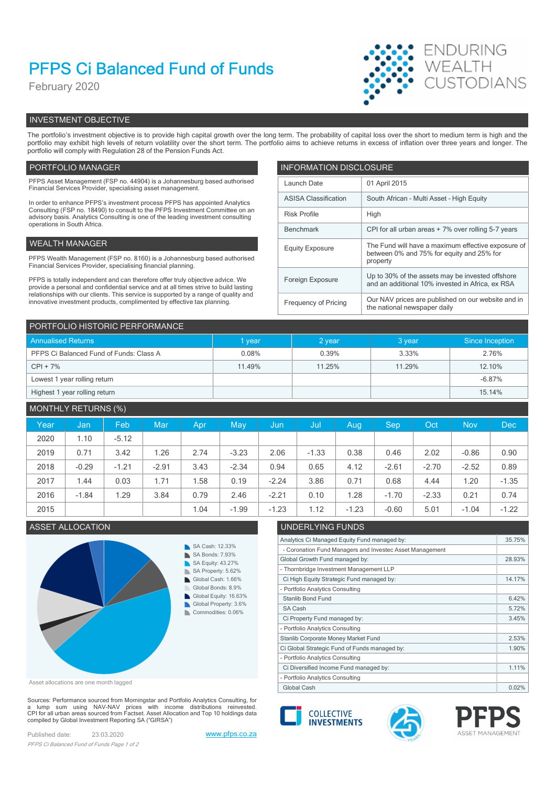# PFPS Ci Balanced Fund of Funds

February 2020



# INVESTMENT OBJECTIVE

The portfolio's investment objective is to provide high capital growth over the long term. The probability of capital loss over the short to medium term is high and the portfolio may exhibit high levels of return volatility over the short term. The portfolio aims to achieve returns in excess of inflation over three years and longer. The portfolio will comply with Regulation 28 of the Pension Funds Act.

# PORTFOLIO MANAGER **INFORMATION DISCLOSURE**

| PFPS Asset Management (FSP no. 44904) is a Johannesburg based authorised<br>Financial Services Provider, specialising asset management.                                | Launch Date                 | 01 April 2015                                                                                        |  |
|------------------------------------------------------------------------------------------------------------------------------------------------------------------------|-----------------------------|------------------------------------------------------------------------------------------------------|--|
| In order to enhance PFPS's investment process PFPS has appointed Analytics                                                                                             | <b>ASISA Classification</b> | South African - Multi Asset - High Equity                                                            |  |
| Consulting (FSP no. 18490) to consult to the PFPS Investment Committee on an<br>advisory basis. Analytics Consulting is one of the leading investment consulting       | <b>Risk Profile</b>         | High                                                                                                 |  |
| operations in South Africa.                                                                                                                                            | Benchmark                   | CPI for all urban areas + 7% over rolling 5-7 years                                                  |  |
| WEALTH MANAGER                                                                                                                                                         | <b>Equity Exposure</b>      | The Fund will have a maximum effective exposure of                                                   |  |
| PFPS Wealth Management (FSP no. 8160) is a Johannesburg based authorised<br>Financial Services Provider, specialising financial planning.                              |                             | between 0% and 75% for equity and 25% for<br>property                                                |  |
| PFPS is totally independent and can therefore offer truly objective advice. We<br>provide a personal and confidential service and at all times strive to build lasting | Foreign Exposure            | Up to 30% of the assets may be invested offshore<br>and an additional 10% invested in Africa, ex RSA |  |
| relationships with our clients. This service is supported by a range of quality and<br>innovative investment products, complimented by effective tax planning.         | Frequency of Pricing        | Our NAV prices are published on our website and in<br>the national newspaper daily                   |  |

| PORTFOLIO HISTORIC PERFORMANCE          |        |        |        |                 |  |  |  |
|-----------------------------------------|--------|--------|--------|-----------------|--|--|--|
| <b>Annualised Returns</b>               | 1 year | 2 year | 3 year | Since Inception |  |  |  |
| PFPS Ci Balanced Fund of Funds: Class A | 0.08%  | 0.39%  | 3.33%  | 2.76%           |  |  |  |
| $CPI + 7%$                              | 11.49% | 11.25% | 11.29% | 12.10%          |  |  |  |
| Lowest 1 year rolling return            |        |        |        | $-6.87%$        |  |  |  |
| Highest 1 year rolling return           |        |        |        | 15.14%          |  |  |  |

# MONTHLY RETURNS (%)

| Year | Jan     | Feb     | Mar     | Apr  | May     | Jun     | /Jul    | Aug     | <b>Sep</b> | Oct     | <b>Nov</b> | Dec     |
|------|---------|---------|---------|------|---------|---------|---------|---------|------------|---------|------------|---------|
| 2020 | 1.10    | $-5.12$ |         |      |         |         |         |         |            |         |            |         |
| 2019 | 0.71    | 3.42    | 1.26    | 2.74 | $-3.23$ | 2.06    | $-1.33$ | 0.38    | 0.46       | 2.02    | $-0.86$    | 0.90    |
| 2018 | $-0.29$ | $-1.21$ | $-2.91$ | 3.43 | $-2.34$ | 0.94    | 0.65    | 4.12    | $-2.61$    | $-2.70$ | $-2.52$    | 0.89    |
| 2017 | 1.44    | 0.03    | 1.71    | .58  | 0.19    | $-2.24$ | 3.86    | 0.71    | 0.68       | 4.44    | 1.20       | $-1.35$ |
| 2016 | $-1.84$ | .29     | 3.84    | 0.79 | 2.46    | $-2.21$ | 0.10    | .28     | $-1.70$    | $-2.33$ | 0.21       | 0.74    |
| 2015 |         |         |         | 1.04 | $-1.99$ | $-1.23$ | 1.12    | $-1.23$ | $-0.60$    | 5.01    | $-1.04$    | $-1.22$ |

# ASSET ALLOCATION



Asset allocations are one month lagged

Sources: Performance sourced from Morningstar and Portfolio Analytics Consulting, for<br>a lump sum using NAV-NAV prices with income distributions reinvested.<br>CPI for all urban areas sourced from Factset. Asset Allocation an compiled by Global Investment Reporting SA ("GIRSA")

Published date: 23.03.2020 www.pfps.co.za PFPS Ci Balanced Fund of Funds Page 1 of 2

| UNDERLYING FUNDS                                         |        |
|----------------------------------------------------------|--------|
| Analytics Ci Managed Equity Fund managed by:             | 35.75% |
| - Coronation Fund Managers and Investec Asset Management |        |
| Global Growth Fund managed by:                           | 28.93% |
| - Thornbridge Investment Management LLP                  |        |
| Ci High Equity Strategic Fund managed by:                | 14.17% |
| - Portfolio Analytics Consulting                         |        |
| Stanlib Bond Fund                                        | 6.42%  |
| SA Cash                                                  | 5.72%  |
| Ci Property Fund managed by:                             | 3.45%  |
| - Portfolio Analytics Consulting                         |        |
| Stanlib Corporate Money Market Fund                      | 2.53%  |
| Ci Global Strategic Fund of Funds managed by:            | 1.90%  |
| - Portfolio Analytics Consulting                         |        |
| Ci Diversified Income Fund managed by:                   | 1.11%  |
| - Portfolio Analytics Consulting                         |        |
| Global Cash                                              | 0.02%  |